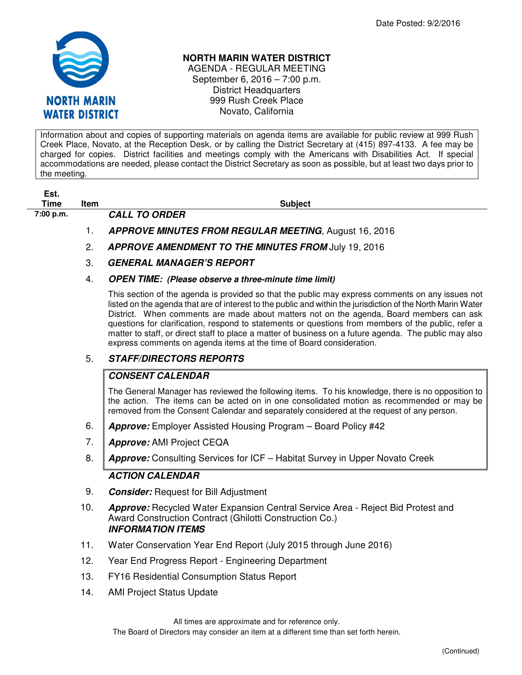

## **NORTH MARIN WATER DISTRICT**

AGENDA - REGULAR MEETING September 6, 2016 – 7:00 p.m. District Headquarters 999 Rush Creek Place Novato, California

Information about and copies of supporting materials on agenda items are available for public review at 999 Rush Creek Place, Novato, at the Reception Desk, or by calling the District Secretary at (415) 897-4133. A fee may be charged for copies. District facilities and meetings comply with the Americans with Disabilities Act. If special accommodations are needed, please contact the District Secretary as soon as possible, but at least two days prior to the meeting.

| ESI. |  |
|------|--|
| Time |  |

**The Item Subject Time Item Subject** 

- **7:00 p.m. CALL TO ORDER** 
	- 1. **APPROVE MINUTES FROM REGULAR MEETING**, August 16, 2016
	- 2. **APPROVE AMENDMENT TO THE MINUTES FROM** July 19, 2016
	- 3. **GENERAL MANAGER'S REPORT**
	- 4. **OPEN TIME: (Please observe a three-minute time limit)**

This section of the agenda is provided so that the public may express comments on any issues not listed on the agenda that are of interest to the public and within the jurisdiction of the North Marin Water District. When comments are made about matters not on the agenda, Board members can ask questions for clarification, respond to statements or questions from members of the public, refer a matter to staff, or direct staff to place a matter of business on a future agenda. The public may also express comments on agenda items at the time of Board consideration.

## 5. **STAFF/DIRECTORS REPORTS**

## **CONSENT CALENDAR**

The General Manager has reviewed the following items. To his knowledge, there is no opposition to the action. The items can be acted on in one consolidated motion as recommended or may be removed from the Consent Calendar and separately considered at the request of any person.

- 6. **Approve:** Employer Assisted Housing Program Board Policy #42
- 7. **Approve:** AMI Project CEQA
- 8. **Approve:** Consulting Services for ICF Habitat Survey in Upper Novato Creek

## **ACTION CALENDAR**

- 9. **Consider:** Request for Bill Adjustment
- 10. **Approve:** Recycled Water Expansion Central Service Area Reject Bid Protest and Award Construction Contract (Ghilotti Construction Co.) **INFORMATION ITEMS**
- 11. Water Conservation Year End Report (July 2015 through June 2016)
- 12. Year End Progress Report Engineering Department
- 13. FY16 Residential Consumption Status Report
- 14. AMI Project Status Update